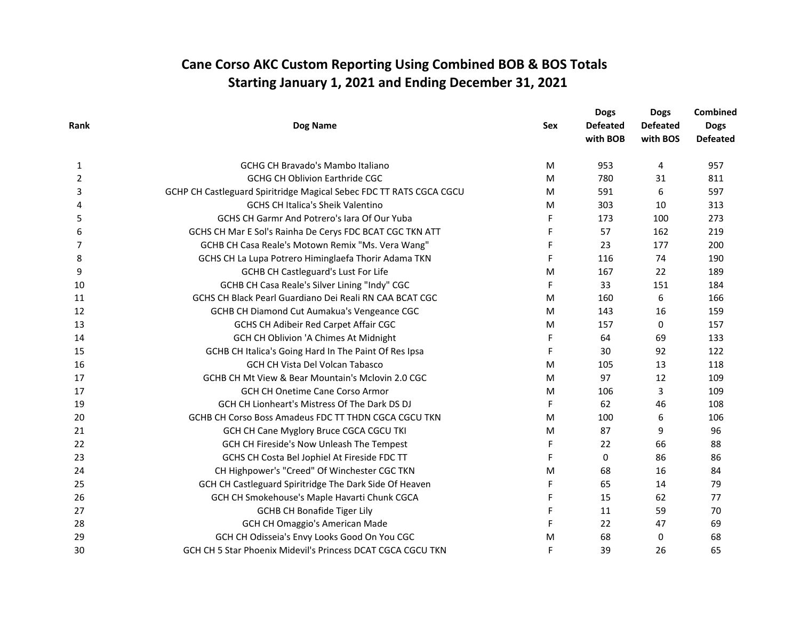| Rank | Dog Name                                                            | <b>Sex</b>  | <b>Dogs</b><br><b>Defeated</b><br>with BOB | <b>Dogs</b><br><b>Defeated</b><br>with BOS | <b>Combined</b><br><b>Dogs</b><br><b>Defeated</b> |
|------|---------------------------------------------------------------------|-------------|--------------------------------------------|--------------------------------------------|---------------------------------------------------|
| 1    | <b>GCHG CH Bravado's Mambo Italiano</b>                             | M           | 953                                        | 4                                          | 957                                               |
| 2    | <b>GCHG CH Oblivion Earthride CGC</b>                               | M           | 780                                        | 31                                         | 811                                               |
| 3    | GCHP CH Castleguard Spiritridge Magical Sebec FDC TT RATS CGCA CGCU | M           | 591                                        | 6                                          | 597                                               |
| 4    | <b>GCHS CH Italica's Sheik Valentino</b>                            | M           | 303                                        | 10                                         | 313                                               |
| 5    | GCHS CH Garmr And Potrero's lara Of Our Yuba                        | F           | 173                                        | 100                                        | 273                                               |
| 6    | GCHS CH Mar E Sol's Rainha De Cerys FDC BCAT CGC TKN ATT            | F           | 57                                         | 162                                        | 219                                               |
| 7    | GCHB CH Casa Reale's Motown Remix "Ms. Vera Wang"                   | F           | 23                                         | 177                                        | 200                                               |
| 8    | GCHS CH La Lupa Potrero Himinglaefa Thorir Adama TKN                | F           | 116                                        | 74                                         | 190                                               |
| 9    | <b>GCHB CH Castleguard's Lust For Life</b>                          | M           | 167                                        | 22                                         | 189                                               |
| 10   | GCHB CH Casa Reale's Silver Lining "Indy" CGC                       | F           | 33                                         | 151                                        | 184                                               |
| 11   | GCHS CH Black Pearl Guardiano Dei Reali RN CAA BCAT CGC             | M           | 160                                        | 6                                          | 166                                               |
| 12   | GCHB CH Diamond Cut Aumakua's Vengeance CGC                         | M           | 143                                        | 16                                         | 159                                               |
| 13   | GCHS CH Adibeir Red Carpet Affair CGC                               | M           | 157                                        | 0                                          | 157                                               |
| 14   | GCH CH Oblivion 'A Chimes At Midnight                               | F           | 64                                         | 69                                         | 133                                               |
| 15   | GCHB CH Italica's Going Hard In The Paint Of Res Ipsa               | F           | 30                                         | 92                                         | 122                                               |
| 16   | <b>GCH CH Vista Del Volcan Tabasco</b>                              | M           | 105                                        | 13                                         | 118                                               |
| 17   | GCHB CH Mt View & Bear Mountain's Mclovin 2.0 CGC                   | M           | 97                                         | 12                                         | 109                                               |
| 17   | <b>GCH CH Onetime Cane Corso Armor</b>                              | M           | 106                                        | 3                                          | 109                                               |
| 19   | GCH CH Lionheart's Mistress Of The Dark DS DJ                       | F           | 62                                         | 46                                         | 108                                               |
| 20   | GCHB CH Corso Boss Amadeus FDC TT THDN CGCA CGCU TKN                | M           | 100                                        | 6                                          | 106                                               |
| 21   | GCH CH Cane Myglory Bruce CGCA CGCU TKI                             | M           | 87                                         | 9                                          | 96                                                |
| 22   | GCH CH Fireside's Now Unleash The Tempest                           | $\mathsf F$ | 22                                         | 66                                         | 88                                                |
| 23   | GCHS CH Costa Bel Jophiel At Fireside FDC TT                        | F           | 0                                          | 86                                         | 86                                                |
| 24   | CH Highpower's "Creed" Of Winchester CGC TKN                        | M           | 68                                         | 16                                         | 84                                                |
| 25   | GCH CH Castleguard Spiritridge The Dark Side Of Heaven              | F           | 65                                         | 14                                         | 79                                                |
| 26   | GCH CH Smokehouse's Maple Havarti Chunk CGCA                        | F           | 15                                         | 62                                         | 77                                                |
| 27   | <b>GCHB CH Bonafide Tiger Lily</b>                                  | F           | 11                                         | 59                                         | 70                                                |
| 28   | GCH CH Omaggio's American Made                                      | F           | 22                                         | 47                                         | 69                                                |
| 29   | GCH CH Odisseia's Envy Looks Good On You CGC                        | M           | 68                                         | 0                                          | 68                                                |
| 30   | GCH CH 5 Star Phoenix Midevil's Princess DCAT CGCA CGCU TKN         | F           | 39                                         | 26                                         | 65                                                |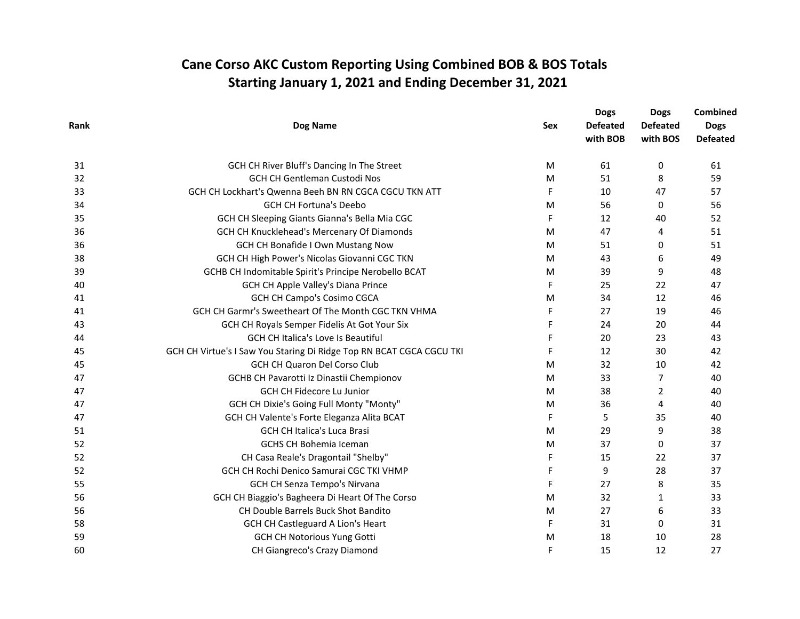| Rank |                                                                      |            | <b>Dogs</b>     | <b>Dogs</b>     | <b>Combined</b> |  |
|------|----------------------------------------------------------------------|------------|-----------------|-----------------|-----------------|--|
|      | Dog Name                                                             | <b>Sex</b> | <b>Defeated</b> | <b>Defeated</b> | <b>Dogs</b>     |  |
|      |                                                                      |            | with BOB        | with BOS        | <b>Defeated</b> |  |
| 31   | GCH CH River Bluff's Dancing In The Street                           | M          | 61              | 0               | 61              |  |
| 32   | <b>GCH CH Gentleman Custodi Nos</b>                                  | M          | 51              | 8               | 59              |  |
| 33   | GCH CH Lockhart's Qwenna Beeh BN RN CGCA CGCU TKN ATT                | F          | 10              | 47              | 57              |  |
| 34   | <b>GCH CH Fortuna's Deebo</b>                                        | M          | 56              | 0               | 56              |  |
| 35   | GCH CH Sleeping Giants Gianna's Bella Mia CGC                        | F          | 12              | 40              | 52              |  |
| 36   | GCH CH Knucklehead's Mercenary Of Diamonds                           | M          | 47              | 4               | 51              |  |
| 36   | <b>GCH CH Bonafide I Own Mustang Now</b>                             | M          | 51              | 0               | 51              |  |
| 38   | GCH CH High Power's Nicolas Giovanni CGC TKN                         | M          | 43              | 6               | 49              |  |
| 39   | GCHB CH Indomitable Spirit's Principe Nerobello BCAT                 | M          | 39              | 9               | 48              |  |
| 40   | GCH CH Apple Valley's Diana Prince                                   | F          | 25              | 22              | 47              |  |
| 41   | <b>GCH CH Campo's Cosimo CGCA</b>                                    | M          | 34              | 12              | 46              |  |
| 41   | GCH CH Garmr's Sweetheart Of The Month CGC TKN VHMA                  | F          | 27              | 19              | 46              |  |
| 43   | GCH CH Royals Semper Fidelis At Got Your Six                         | F          | 24              | 20              | 44              |  |
| 44   | GCH CH Italica's Love Is Beautiful                                   | F          | 20              | 23              | 43              |  |
| 45   | GCH CH Virtue's I Saw You Staring Di Ridge Top RN BCAT CGCA CGCU TKI | F          | 12              | 30              | 42              |  |
| 45   | GCH CH Quaron Del Corso Club                                         | M          | 32              | 10              | 42              |  |
| 47   | GCHB CH Pavarotti Iz Dinastii Chempionov                             | M          | 33              | 7               | 40              |  |
| 47   | GCH CH Fidecore Lu Junior                                            | M          | 38              | 2               | 40              |  |
| 47   | GCH CH Dixie's Going Full Monty "Monty"                              | M          | 36              | 4               | 40              |  |
| 47   | GCH CH Valente's Forte Eleganza Alita BCAT                           | F          | 5               | 35              | 40              |  |
| 51   | <b>GCH CH Italica's Luca Brasi</b>                                   | M          | 29              | 9               | 38              |  |
| 52   | <b>GCHS CH Bohemia Iceman</b>                                        | M          | 37              | $\Omega$        | 37              |  |
| 52   | CH Casa Reale's Dragontail "Shelby"                                  | F          | 15              | 22              | 37              |  |
| 52   | GCH CH Rochi Denico Samurai CGC TKI VHMP                             | F          | 9               | 28              | 37              |  |
| 55   | GCH CH Senza Tempo's Nirvana                                         | F          | 27              | 8               | 35              |  |
| 56   | GCH CH Biaggio's Bagheera Di Heart Of The Corso                      | M          | 32              | 1               | 33              |  |
| 56   | CH Double Barrels Buck Shot Bandito                                  | M          | 27              | 6               | 33              |  |
| 58   | <b>GCH CH Castleguard A Lion's Heart</b>                             | F          | 31              | 0               | 31              |  |
| 59   | <b>GCH CH Notorious Yung Gotti</b>                                   | M          | 18              | 10              | 28              |  |
| 60   | CH Giangreco's Crazy Diamond                                         | F          | 15              | 12              | 27              |  |
|      |                                                                      |            |                 |                 |                 |  |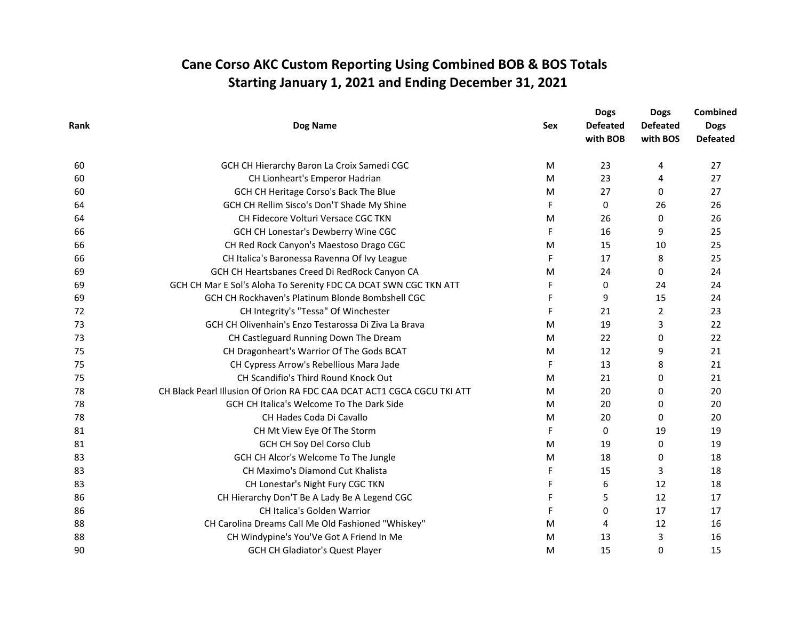| Rank | Dog Name                                                                | Sex | <b>Dogs</b><br><b>Defeated</b><br>with BOB | <b>Dogs</b><br><b>Defeated</b><br>with BOS | Combined<br><b>Dogs</b><br><b>Defeated</b> |
|------|-------------------------------------------------------------------------|-----|--------------------------------------------|--------------------------------------------|--------------------------------------------|
| 60   | GCH CH Hierarchy Baron La Croix Samedi CGC                              | M   | 23                                         | 4                                          | 27                                         |
| 60   | CH Lionheart's Emperor Hadrian                                          | M   | 23                                         | 4                                          | 27                                         |
| 60   | GCH CH Heritage Corso's Back The Blue                                   | M   | 27                                         | 0                                          | 27                                         |
| 64   | GCH CH Rellim Sisco's Don'T Shade My Shine                              | F   | 0                                          | 26                                         | 26                                         |
| 64   | CH Fidecore Volturi Versace CGC TKN                                     | M   | 26                                         | 0                                          | 26                                         |
| 66   | GCH CH Lonestar's Dewberry Wine CGC                                     | F   | 16                                         | 9                                          | 25                                         |
| 66   | CH Red Rock Canyon's Maestoso Drago CGC                                 | M   | 15                                         | 10                                         | 25                                         |
| 66   | CH Italica's Baronessa Ravenna Of Ivy League                            | F   | 17                                         | 8                                          | 25                                         |
| 69   | GCH CH Heartsbanes Creed Di RedRock Canyon CA                           | M   | 24                                         | 0                                          | 24                                         |
| 69   | GCH CH Mar E Sol's Aloha To Serenity FDC CA DCAT SWN CGC TKN ATT        | F   | 0                                          | 24                                         | 24                                         |
| 69   | GCH CH Rockhaven's Platinum Blonde Bombshell CGC                        | F   | 9                                          | 15                                         | 24                                         |
| 72   | CH Integrity's "Tessa" Of Winchester                                    | F   | 21                                         | 2                                          | 23                                         |
| 73   | GCH CH Olivenhain's Enzo Testarossa Di Ziva La Brava                    | M   | 19                                         | 3                                          | 22                                         |
| 73   | CH Castleguard Running Down The Dream                                   | M   | 22                                         | 0                                          | 22                                         |
| 75   | CH Dragonheart's Warrior Of The Gods BCAT                               | M   | 12                                         | 9                                          | 21                                         |
| 75   | CH Cypress Arrow's Rebellious Mara Jade                                 | F   | 13                                         | 8                                          | 21                                         |
| 75   | CH Scandifio's Third Round Knock Out                                    | M   | 21                                         | 0                                          | 21                                         |
| 78   | CH Black Pearl Illusion Of Orion RA FDC CAA DCAT ACT1 CGCA CGCU TKI ATT | M   | 20                                         | 0                                          | 20                                         |
| 78   | GCH CH Italica's Welcome To The Dark Side                               | M   | 20                                         | 0                                          | 20                                         |
| 78   | CH Hades Coda Di Cavallo                                                | M   | 20                                         | 0                                          | 20                                         |
| 81   | CH Mt View Eye Of The Storm                                             | F   | 0                                          | 19                                         | 19                                         |
| 81   | GCH CH Soy Del Corso Club                                               | M   | 19                                         | 0                                          | 19                                         |
| 83   | GCH CH Alcor's Welcome To The Jungle                                    | M   | 18                                         | 0                                          | 18                                         |
| 83   | CH Maximo's Diamond Cut Khalista                                        | F   | 15                                         | 3                                          | 18                                         |
| 83   | CH Lonestar's Night Fury CGC TKN                                        | F   | 6                                          | 12                                         | 18                                         |
| 86   | CH Hierarchy Don'T Be A Lady Be A Legend CGC                            | F   | 5                                          | 12                                         | 17                                         |
| 86   | CH Italica's Golden Warrior                                             | F   | 0                                          | 17                                         | 17                                         |
| 88   | CH Carolina Dreams Call Me Old Fashioned "Whiskey"                      | M   | 4                                          | 12                                         | 16                                         |
| 88   | CH Windypine's You'Ve Got A Friend In Me                                | M   | 13                                         | 3                                          | 16                                         |
| 90   | <b>GCH CH Gladiator's Quest Player</b>                                  | M   | 15                                         | 0                                          | 15                                         |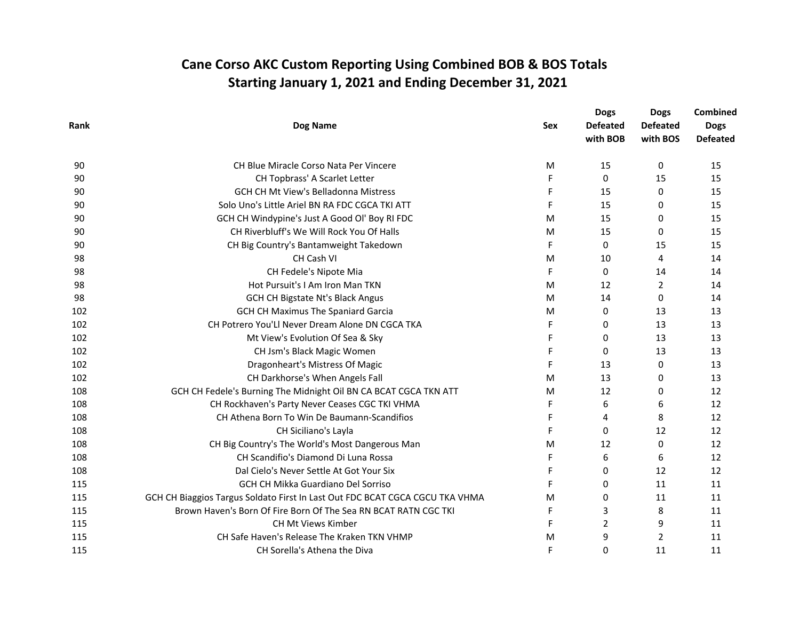|      |                                                                              |                               | <b>Dogs</b>     | <b>Dogs</b>    | <b>Combined</b> |
|------|------------------------------------------------------------------------------|-------------------------------|-----------------|----------------|-----------------|
| Rank | Dog Name                                                                     | <b>Defeated</b><br><b>Sex</b> | <b>Defeated</b> | <b>Dogs</b>    |                 |
|      |                                                                              |                               | with BOB        | with BOS       | <b>Defeated</b> |
| 90   | <b>CH Blue Miracle Corso Nata Per Vincere</b>                                | M                             | 15              | 0              | 15              |
| 90   | CH Topbrass' A Scarlet Letter                                                | F                             | $\Omega$        | 15             | 15              |
| 90   | GCH CH Mt View's Belladonna Mistress                                         | F                             | 15              | 0              | 15              |
| 90   | Solo Uno's Little Ariel BN RA FDC CGCA TKI ATT                               | F                             | 15              | 0              | 15              |
| 90   | GCH CH Windypine's Just A Good Ol' Boy RI FDC                                | M                             | 15              | 0              | 15              |
| 90   | CH Riverbluff's We Will Rock You Of Halls                                    | M                             | 15              | 0              | 15              |
| 90   | CH Big Country's Bantamweight Takedown                                       | F                             | $\mathbf{0}$    | 15             | 15              |
| 98   | CH Cash VI                                                                   | M                             | 10              | 4              | 14              |
| 98   | CH Fedele's Nipote Mia                                                       | F                             | 0               | 14             | 14              |
| 98   | Hot Pursuit's I Am Iron Man TKN                                              | M                             | 12              | $\overline{2}$ | 14              |
| 98   | GCH CH Bigstate Nt's Black Angus                                             | M                             | 14              | 0              | 14              |
| 102  | <b>GCH CH Maximus The Spaniard Garcia</b>                                    | M                             | 0               | 13             | 13              |
| 102  | CH Potrero You'Ll Never Dream Alone DN CGCA TKA                              | F                             | 0               | 13             | 13              |
| 102  | Mt View's Evolution Of Sea & Sky                                             | F                             | 0               | 13             | 13              |
| 102  | CH Jsm's Black Magic Women                                                   | F                             | 0               | 13             | 13              |
| 102  | Dragonheart's Mistress Of Magic                                              | F                             | 13              | 0              | 13              |
| 102  | CH Darkhorse's When Angels Fall                                              | M                             | 13              | 0              | 13              |
| 108  | GCH CH Fedele's Burning The Midnight Oil BN CA BCAT CGCA TKN ATT             | M                             | 12              | 0              | 12              |
| 108  | CH Rockhaven's Party Never Ceases CGC TKI VHMA                               | F                             | 6               | 6              | 12              |
| 108  | CH Athena Born To Win De Baumann-Scandifios                                  | F                             | 4               | 8              | 12              |
| 108  | CH Siciliano's Layla                                                         | F                             | $\Omega$        | 12             | 12              |
| 108  | CH Big Country's The World's Most Dangerous Man                              | M                             | 12              | 0              | 12              |
| 108  | CH Scandifio's Diamond Di Luna Rossa                                         | F                             | 6               | 6              | 12              |
| 108  | Dal Cielo's Never Settle At Got Your Six                                     | F                             | $\mathbf{0}$    | 12             | 12              |
| 115  | GCH CH Mikka Guardiano Del Sorriso                                           | F                             | 0               | 11             | 11              |
| 115  | GCH CH Biaggios Targus Soldato First In Last Out FDC BCAT CGCA CGCU TKA VHMA | M                             | $\Omega$        | 11             | 11              |
| 115  | Brown Haven's Born Of Fire Born Of The Sea RN BCAT RATN CGC TKI              | F                             | 3               | 8              | 11              |
| 115  | CH Mt Views Kimber                                                           | F                             | $\overline{2}$  | 9              | 11              |
| 115  | CH Safe Haven's Release The Kraken TKN VHMP                                  | M                             | 9               | $\overline{2}$ | 11              |
| 115  | CH Sorella's Athena the Diva                                                 | F                             | 0               | 11             | 11              |
|      |                                                                              |                               |                 |                |                 |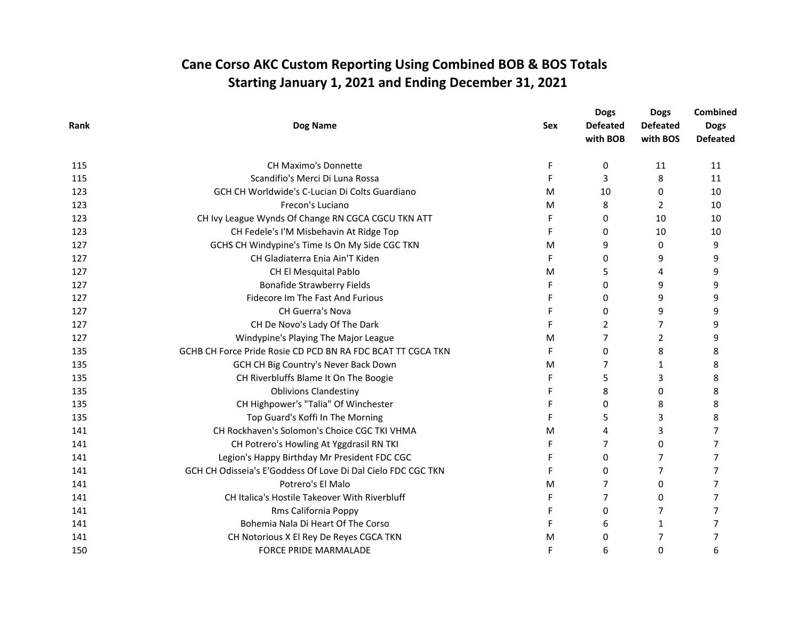| Rank |                                                              |                               | <b>Dogs</b>     | <b>Dogs</b>    | Combined        |  |
|------|--------------------------------------------------------------|-------------------------------|-----------------|----------------|-----------------|--|
|      | <b>Dog Name</b>                                              | <b>Defeated</b><br><b>Sex</b> | <b>Defeated</b> | <b>Dogs</b>    |                 |  |
|      |                                                              |                               | with BOB        | with BOS       | <b>Defeated</b> |  |
| 115  | <b>CH Maximo's Donnette</b>                                  | F                             | 0               | 11             | 11              |  |
| 115  | Scandifio's Merci Di Luna Rossa                              | F                             | 3               | 8              | 11              |  |
| 123  | GCH CH Worldwide's C-Lucian Di Colts Guardiano               | M                             | 10              | $\Omega$       | 10              |  |
| 123  | Frecon's Luciano                                             | M                             | 8               | 2              | 10              |  |
| 123  | CH Ivy League Wynds Of Change RN CGCA CGCU TKN ATT           | F                             | 0               | 10             | 10              |  |
| 123  | CH Fedele's I'M Misbehavin At Ridge Top                      | F                             | 0               | 10             | 10              |  |
| 127  | GCHS CH Windypine's Time Is On My Side CGC TKN               | M                             | 9               | 0              | 9               |  |
| 127  | CH Gladiaterra Enia Ain'T Kiden                              | F                             | 0               | 9              | 9               |  |
| 127  | CH El Mesquital Pablo                                        | M                             | 5               | 4              | 9               |  |
| 127  | <b>Bonafide Strawberry Fields</b>                            | F                             | 0               | 9              | 9               |  |
| 127  | Fidecore Im The Fast And Furious                             | F                             | 0               | 9              | 9               |  |
| 127  | <b>CH Guerra's Nova</b>                                      | F                             | 0               | 9              | 9               |  |
| 127  | CH De Novo's Lady Of The Dark                                | F                             | $\overline{2}$  | $\overline{7}$ | 9               |  |
| 127  | Windypine's Playing The Major League                         | M                             | 7               | 2              | 9               |  |
| 135  | GCHB CH Force Pride Rosie CD PCD BN RA FDC BCAT TT CGCA TKN  | F                             | 0               | 8              | 8               |  |
| 135  | GCH CH Big Country's Never Back Down                         | M                             | 7               | 1              | 8               |  |
| 135  | CH Riverbluffs Blame It On The Boogie                        | F                             | 5               | 3              | 8               |  |
| 135  | <b>Oblivions Clandestiny</b>                                 |                               | 8               | $\Omega$       | 8               |  |
| 135  | CH Highpower's "Talia" Of Winchester                         | F                             | 0               | 8              | 8               |  |
| 135  | Top Guard's Koffi In The Morning                             | F                             | 5               | 3              | 8               |  |
| 141  | CH Rockhaven's Solomon's Choice CGC TKI VHMA                 | M                             | 4               | 3              | $\overline{7}$  |  |
| 141  | CH Potrero's Howling At Yggdrasil RN TKI                     | F                             | 7               | 0              | 7               |  |
| 141  | Legion's Happy Birthday Mr President FDC CGC                 | F                             | 0               | 7              | 7               |  |
| 141  | GCH CH Odisseia's E'Goddess Of Love Di Dal Cielo FDC CGC TKN | F                             | 0               | $\overline{7}$ | 7               |  |
| 141  | Potrero's El Malo                                            | M                             | 7               | 0              | 7               |  |
| 141  | CH Italica's Hostile Takeover With Riverbluff                | F                             | 7               | $\Omega$       | $\overline{7}$  |  |
| 141  | Rms California Poppy                                         | F                             | 0               | 7              | 7               |  |
| 141  | Bohemia Nala Di Heart Of The Corso                           | F                             | 6               | 1              | 7               |  |
| 141  | CH Notorious X El Rey De Reyes CGCA TKN                      | M                             | 0               | 7              | 7               |  |
| 150  | FORCE PRIDE MARMALADE                                        | F                             | 6               | $\Omega$       | 6               |  |
|      |                                                              |                               |                 |                |                 |  |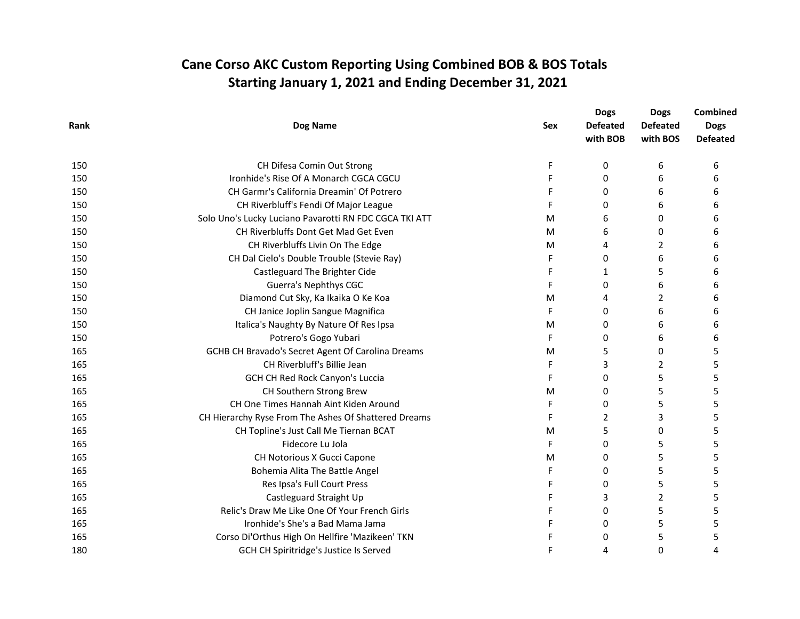| Rank |                                                        |                               | <b>Dogs</b>     | <b>Dogs</b>    | Combined        |
|------|--------------------------------------------------------|-------------------------------|-----------------|----------------|-----------------|
|      | Dog Name                                               | <b>Defeated</b><br><b>Sex</b> | <b>Defeated</b> | <b>Dogs</b>    |                 |
|      |                                                        |                               | with BOB        | with BOS       | <b>Defeated</b> |
| 150  | CH Difesa Comin Out Strong                             | F                             | 0               | 6              | 6               |
| 150  | Ironhide's Rise Of A Monarch CGCA CGCU                 | F                             | $\Omega$        | 6              | 6               |
| 150  | CH Garmr's California Dreamin' Of Potrero              | F                             | $\Omega$        | 6              | 6               |
| 150  | CH Riverbluff's Fendi Of Major League                  | F                             | 0               | 6              | 6               |
| 150  | Solo Uno's Lucky Luciano Pavarotti RN FDC CGCA TKI ATT | M                             | 6               | 0              | 6               |
| 150  | CH Riverbluffs Dont Get Mad Get Even                   | M                             | 6               | 0              | 6               |
| 150  | CH Riverbluffs Livin On The Edge                       | M                             | 4               | 2              | 6               |
| 150  | CH Dal Cielo's Double Trouble (Stevie Ray)             | F                             | $\Omega$        | 6              | 6               |
| 150  | Castleguard The Brighter Cide                          | F                             | 1               | 5              | 6               |
| 150  | Guerra's Nephthys CGC                                  | F                             | 0               | 6              | 6               |
| 150  | Diamond Cut Sky, Ka Ikaika O Ke Koa                    | M                             | 4               | 2              | 6               |
| 150  | CH Janice Joplin Sangue Magnifica                      | F                             | 0               | 6              | 6               |
| 150  | Italica's Naughty By Nature Of Res Ipsa                | M                             | 0               | 6              | 6               |
| 150  | Potrero's Gogo Yubari                                  | F                             | 0               | 6              | 6               |
| 165  | GCHB CH Bravado's Secret Agent Of Carolina Dreams      | M                             | 5               | 0              | 5               |
| 165  | CH Riverbluff's Billie Jean                            | F                             | 3               | 2              | 5               |
| 165  | GCH CH Red Rock Canyon's Luccia                        | F                             | 0               | 5              | 5               |
| 165  | CH Southern Strong Brew                                | M                             | $\Omega$        | 5              | 5               |
| 165  | CH One Times Hannah Aint Kiden Around                  | F                             | $\Omega$        | 5              | 5               |
| 165  | CH Hierarchy Ryse From The Ashes Of Shattered Dreams   | F                             | 2               | 3              | 5               |
| 165  | CH Topline's Just Call Me Tiernan BCAT                 | M                             | 5               | 0              | 5               |
| 165  | Fidecore Lu Jola                                       | F                             | 0               | 5              | 5               |
| 165  | CH Notorious X Gucci Capone                            | M                             | 0               | 5              | 5               |
| 165  | Bohemia Alita The Battle Angel                         | F                             | $\Omega$        | 5              | 5               |
| 165  | Res Ipsa's Full Court Press                            | F                             | 0               | 5              | 5               |
| 165  | Castleguard Straight Up                                | F                             | 3               | $\overline{2}$ | 5               |
| 165  | Relic's Draw Me Like One Of Your French Girls          | F                             | 0               | 5              | 5               |
| 165  | Ironhide's She's a Bad Mama Jama                       | F                             | 0               | 5              | 5               |
| 165  | Corso Di'Orthus High On Hellfire 'Mazikeen' TKN        | F                             | $\Omega$        | 5              | 5               |
| 180  | GCH CH Spiritridge's Justice Is Served                 | F                             | 4               | 0              | 4               |
|      |                                                        |                               |                 |                |                 |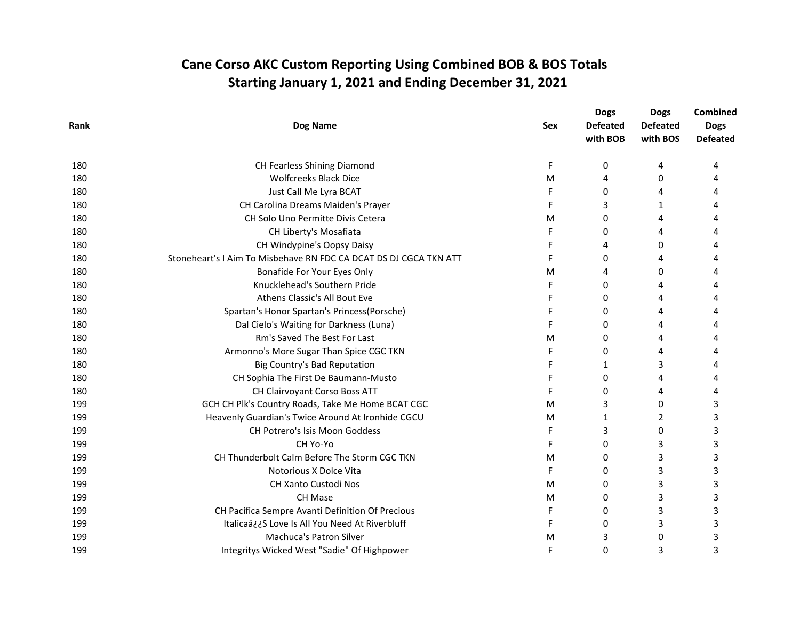|      |                                                                   |                               | <b>Dogs</b>     | <b>Dogs</b>    | <b>Combined</b> |
|------|-------------------------------------------------------------------|-------------------------------|-----------------|----------------|-----------------|
| Rank | Dog Name                                                          | <b>Defeated</b><br><b>Sex</b> | <b>Defeated</b> | <b>Dogs</b>    |                 |
|      |                                                                   |                               | with BOB        | with BOS       | <b>Defeated</b> |
| 180  | CH Fearless Shining Diamond                                       | F                             | 0               | 4              | 4               |
| 180  | <b>Wolfcreeks Black Dice</b>                                      | M                             | 4               | 0              | 4               |
| 180  | Just Call Me Lyra BCAT                                            | F                             | 0               | 4              | 4               |
| 180  | CH Carolina Dreams Maiden's Prayer                                | F                             | 3               | 1              |                 |
| 180  | CH Solo Uno Permitte Divis Cetera                                 | M                             | 0               | 4              |                 |
| 180  | CH Liberty's Mosafiata                                            | F                             | 0               | 4              | 4               |
| 180  | CH Windypine's Oopsy Daisy                                        | F                             | 4               | $\Omega$       | 4               |
| 180  | Stoneheart's I Aim To Misbehave RN FDC CA DCAT DS DJ CGCA TKN ATT | F                             | 0               | 4              |                 |
| 180  | Bonafide For Your Eyes Only                                       | M                             | 4               | 0              |                 |
| 180  | Knucklehead's Southern Pride                                      | F                             | 0               | 4              |                 |
| 180  | Athens Classic's All Bout Eve                                     | F                             | 0               | 4              | 4               |
| 180  | Spartan's Honor Spartan's Princess(Porsche)                       | F                             | 0               | 4              | 4               |
| 180  | Dal Cielo's Waiting for Darkness (Luna)                           | F                             | 0               | 4              | 4               |
| 180  | Rm's Saved The Best For Last                                      | M                             | 0               | 4              |                 |
| 180  | Armonno's More Sugar Than Spice CGC TKN                           | F                             | 0               | 4              | 4               |
| 180  | Big Country's Bad Reputation                                      |                               | 1               | 3              | 4               |
| 180  | CH Sophia The First De Baumann-Musto                              | F                             | 0               | 4              | 4               |
| 180  | CH Clairvoyant Corso Boss ATT                                     |                               | 0               | 4              | 4               |
| 199  | GCH CH Plk's Country Roads, Take Me Home BCAT CGC                 | M                             | 3               | $\Omega$       | 3               |
| 199  | Heavenly Guardian's Twice Around At Ironhide CGCU                 | M                             | 1               | $\overline{2}$ | 3               |
| 199  | <b>CH Potrero's Isis Moon Goddess</b>                             | F                             | 3               | $\Omega$       | 3               |
| 199  | CH Yo-Yo                                                          | F                             | 0               | 3              | 3               |
| 199  | CH Thunderbolt Calm Before The Storm CGC TKN                      | M                             | 0               | 3              | 3               |
| 199  | Notorious X Dolce Vita                                            | F                             | $\Omega$        | 3              | 3               |
| 199  | CH Xanto Custodi Nos                                              | M                             | 0               | 3              | 3               |
| 199  | CH Mase                                                           | M                             | 0               | 3              | 3               |
| 199  | CH Pacifica Sempre Avanti Definition Of Precious                  | F                             | 0               | 3              | 3               |
| 199  | Italicaâ¿¿S Love Is All You Need At Riverbluff                    | F                             | 0               | 3              | 3               |
| 199  | Machuca's Patron Silver                                           | M                             | 3               | 0              | 3               |
| 199  | Integritys Wicked West "Sadie" Of Highpower                       | F                             | 0               | 3              | 3               |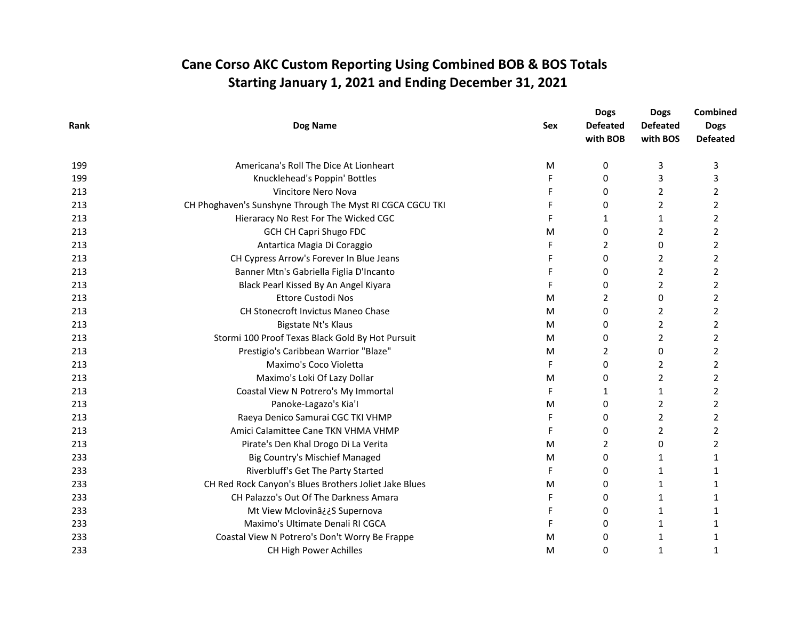| Rank |                                                           |                               | <b>Dogs</b>     | <b>Dogs</b>    | <b>Combined</b> |
|------|-----------------------------------------------------------|-------------------------------|-----------------|----------------|-----------------|
|      | Dog Name                                                  | <b>Defeated</b><br><b>Sex</b> | <b>Defeated</b> | <b>Dogs</b>    |                 |
|      |                                                           |                               | with BOB        | with BOS       | <b>Defeated</b> |
| 199  | Americana's Roll The Dice At Lionheart                    | M                             | 0               | 3              | 3               |
| 199  | Knucklehead's Poppin' Bottles                             | F                             | $\Omega$        | 3              | 3               |
| 213  | Vincitore Nero Nova                                       | F                             | $\Omega$        | $\overline{2}$ | $\overline{2}$  |
| 213  | CH Phoghaven's Sunshyne Through The Myst RI CGCA CGCU TKI | F                             | 0               | 2              | 2               |
| 213  | Hieraracy No Rest For The Wicked CGC                      | F                             | $\mathbf{1}$    | 1              | $\overline{2}$  |
| 213  | <b>GCH CH Capri Shugo FDC</b>                             | M                             | 0               | 2              | 2               |
| 213  | Antartica Magia Di Coraggio                               | F                             | 2               | 0              | 2               |
| 213  | CH Cypress Arrow's Forever In Blue Jeans                  |                               | $\Omega$        | $\overline{2}$ | $\overline{2}$  |
| 213  | Banner Mtn's Gabriella Figlia D'Incanto                   |                               | 0               | 2              | 2               |
| 213  | Black Pearl Kissed By An Angel Kiyara                     | F                             | $\Omega$        | 2              | 2               |
| 213  | <b>Ettore Custodi Nos</b>                                 | M                             | $\overline{2}$  | 0              | $\overline{2}$  |
| 213  | CH Stonecroft Invictus Maneo Chase                        | M                             | 0               | 2              | 2               |
| 213  | Bigstate Nt's Klaus                                       | M                             | 0               | $\overline{2}$ | $\overline{2}$  |
| 213  | Stormi 100 Proof Texas Black Gold By Hot Pursuit          | M                             | 0               | 2              | 2               |
| 213  | Prestigio's Caribbean Warrior "Blaze"                     | M                             | 2               | 0              | 2               |
| 213  | Maximo's Coco Violetta                                    | F                             | $\Omega$        | 2              | 2               |
| 213  | Maximo's Loki Of Lazy Dollar                              | M                             | 0               | 2              | $\overline{2}$  |
| 213  | Coastal View N Potrero's My Immortal                      | F                             | 1               | 1              | $\overline{2}$  |
| 213  | Panoke-Lagazo's Kia'l                                     | M                             | $\Omega$        | 2              | 2               |
| 213  | Raeya Denico Samurai CGC TKI VHMP                         | F                             | $\Omega$        | 2              | 2               |
| 213  | Amici Calamittee Cane TKN VHMA VHMP                       | F                             | $\Omega$        | 2              | $\overline{2}$  |
| 213  | Pirate's Den Khal Drogo Di La Verita                      | M                             | 2               | 0              | 2               |
| 233  | Big Country's Mischief Managed                            | M                             | $\Omega$        | 1              | 1               |
| 233  | Riverbluff's Get The Party Started                        | F                             | $\Omega$        | 1              | 1               |
| 233  | CH Red Rock Canyon's Blues Brothers Joliet Jake Blues     | M                             | 0               | 1              | 1               |
| 233  | CH Palazzo's Out Of The Darkness Amara                    | F                             | $\Omega$        | 1              | $\mathbf{1}$    |
| 233  | Mt View Mclovinâ¿¿S Supernova                             | F                             | 0               | 1              | 1               |
| 233  | Maximo's Ultimate Denali RI CGCA                          | F                             | 0               | 1              | 1               |
| 233  | Coastal View N Potrero's Don't Worry Be Frappe            | M                             | $\Omega$        | 1              | 1               |
| 233  | CH High Power Achilles                                    | M                             | 0               | 1              | 1               |
|      |                                                           |                               |                 |                |                 |